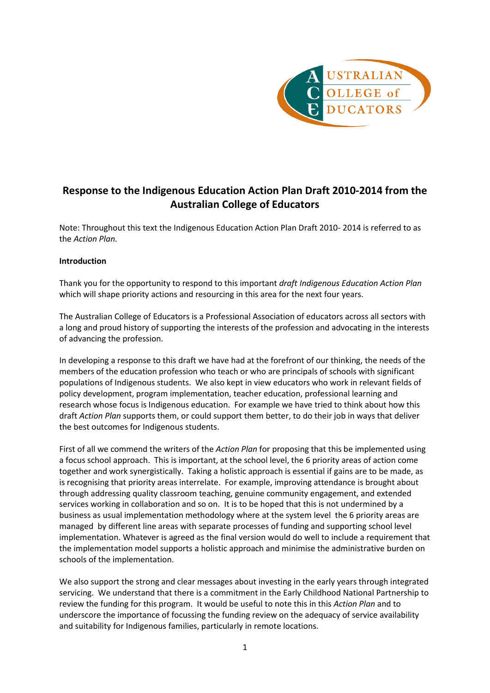

# **Response to the Indigenous Education Action Plan Draft 2010-2014 from the Australian College of Educators**

Note: Throughout this text the Indigenous Education Action Plan Draft 2010- 2014 is referred to as the *Action Plan.*

# **Introduction**

Thank you for the opportunity to respond to this important *draft Indigenous Education Action Plan* which will shape priority actions and resourcing in this area for the next four years.

The Australian College of Educators is a Professional Association of educators across all sectors with a long and proud history of supporting the interests of the profession and advocating in the interests of advancing the profession.

In developing a response to this draft we have had at the forefront of our thinking, the needs of the members of the education profession who teach or who are principals of schools with significant populations of Indigenous students. We also kept in view educators who work in relevant fields of policy development, program implementation, teacher education, professional learning and research whose focus is Indigenous education. For example we have tried to think about how this draft *Action Plan* supports them, or could support them better, to do their job in ways that deliver the best outcomes for Indigenous students.

First of all we commend the writers of the *Action Plan* for proposing that this be implemented using a focus school approach. This is important, at the school level, the 6 priority areas of action come together and work synergistically. Taking a holistic approach is essential if gains are to be made, as is recognising that priority areas interrelate. For example, improving attendance is brought about through addressing quality classroom teaching, genuine community engagement, and extended services working in collaboration and so on. It is to be hoped that this is not undermined by a business as usual implementation methodology where at the system level the 6 priority areas are managed by different line areas with separate processes of funding and supporting school level implementation. Whatever is agreed as the final version would do well to include a requirement that the implementation model supports a holistic approach and minimise the administrative burden on schools of the implementation.

We also support the strong and clear messages about investing in the early years through integrated servicing. We understand that there is a commitment in the Early Childhood National Partnership to review the funding for this program. It would be useful to note this in this *Action Plan* and to underscore the importance of focussing the funding review on the adequacy of service availability and suitability for Indigenous families, particularly in remote locations.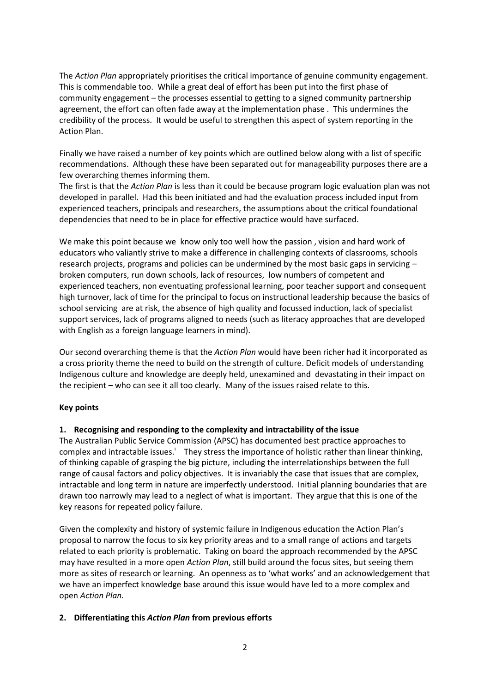The *Action Plan* appropriately prioritises the critical importance of genuine community engagement. This is commendable too. While a great deal of effort has been put into the first phase of community engagement – the processes essential to getting to a signed community partnership agreement, the effort can often fade away at the implementation phase . This undermines the credibility of the process. It would be useful to strengthen this aspect of system reporting in the Action Plan.

Finally we have raised a number of key points which are outlined below along with a list of specific recommendations. Although these have been separated out for manageability purposes there are a few overarching themes informing them.

The first is that the *Action Plan* is less than it could be because program logic evaluation plan was not developed in parallel. Had this been initiated and had the evaluation process included input from experienced teachers, principals and researchers, the assumptions about the critical foundational dependencies that need to be in place for effective practice would have surfaced.

We make this point because we know only too well how the passion, vision and hard work of educators who valiantly strive to make a difference in challenging contexts of classrooms, schools research projects, programs and policies can be undermined by the most basic gaps in servicing – broken computers, run down schools, lack of resources, low numbers of competent and experienced teachers, non eventuating professional learning, poor teacher support and consequent high turnover, lack of time for the principal to focus on instructional leadership because the basics of school servicing are at risk, the absence of high quality and focussed induction, lack of specialist support services, lack of programs aligned to needs (such as literacy approaches that are developed with English as a foreign language learners in mind).

Our second overarching theme is that the *Action Plan* would have been richer had it incorporated as a cross priority theme the need to build on the strength of culture. Deficit models of understanding Indigenous culture and knowledge are deeply held, unexamined and devastating in their impact on the recipient – who can see it all too clearly. Many of the issues raised relate to this.

# **Key points**

# **1. Recognising and responding to the complexity and intractability of the issue**

The Australian Public Service Commission (APSC) has documented best practice approaches to complex and intractable issues.<sup>i</sup> They stress the importance of holistic rather than linear thinking, of thinking capable of grasping the big picture, including the interrelationships between the full range of causal factors and policy objectives. It is invariably the case that issues that are complex, intractable and long term in nature are imperfectly understood. Initial planning boundaries that are drawn too narrowly may lead to a neglect of what is important. They argue that this is one of the key reasons for repeated policy failure.

Given the complexity and history of systemic failure in Indigenous education the Action Plan's proposal to narrow the focus to six key priority areas and to a small range of actions and targets related to each priority is problematic. Taking on board the approach recommended by the APSC may have resulted in a more open *Action Plan*, still build around the focus sites, but seeing them more as sites of research or learning. An openness as to 'what works' and an acknowledgement that we have an imperfect knowledge base around this issue would have led to a more complex and open *Action Plan.*

# **2. Differentiating this** *Action Plan* **from previous efforts**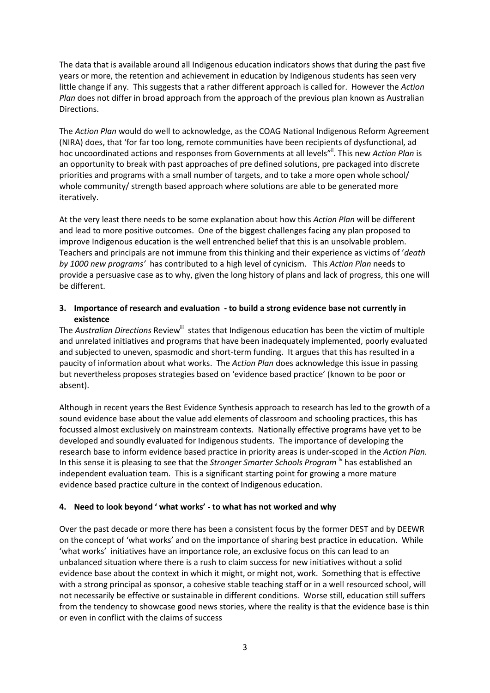The data that is available around all Indigenous education indicators shows that during the past five years or more, the retention and achievement in education by Indigenous students has seen very little change if any. This suggests that a rather different approach is called for. However the *Action Plan* does not differ in broad approach from the approach of the previous plan known as Australian Directions.

The *Action Plan* would do well to acknowledge, as the COAG National Indigenous Reform Agreement (NIRA) does, that 'for far too long, remote communities have been recipients of dysfunctional, ad hoc uncoordinated actions and responses from Governments at all levels"<sup>ii</sup>. This new Action Plan is an opportunity to break with past approaches of pre defined solutions, pre packaged into discrete priorities and programs with a small number of targets, and to take a more open whole school/ whole community/ strength based approach where solutions are able to be generated more iteratively.

At the very least there needs to be some explanation about how this *Action Plan* will be different and lead to more positive outcomes. One of the biggest challenges facing any plan proposed to improve Indigenous education is the well entrenched belief that this is an unsolvable problem. Teachers and principals are not immune from this thinking and their experience as victims of '*death by 1000 new programs'* has contributed to a high level of cynicism. This *Action Plan* needs to provide a persuasive case as to why, given the long history of plans and lack of progress, this one will be different.

# **3. Importance of research and evaluation - to build a strong evidence base not currently in existence**

The *Australian Directions* Review<sup>iii</sup> states that Indigenous education has been the victim of multiple and unrelated initiatives and programs that have been inadequately implemented, poorly evaluated and subjected to uneven, spasmodic and short-term funding. It argues that this has resulted in a paucity of information about what works. The *Action Plan* does acknowledge this issue in passing but nevertheless proposes strategies based on 'evidence based practice' (known to be poor or absent).

Although in recent years the Best Evidence Synthesis approach to research has led to the growth of a sound evidence base about the value add elements of classroom and schooling practices, this has focussed almost exclusively on mainstream contexts. Nationally effective programs have yet to be developed and soundly evaluated for Indigenous students. The importance of developing the research base to inform evidence based practice in priority areas is under-scoped in the *Action Plan.* In this sense it is pleasing to see that the *Stronger Smarter Schools Program*<sup>1</sup> has established an independent evaluation team. This is a significant starting point for growing a more mature evidence based practice culture in the context of Indigenous education.

# **4. Need to look beyond ' what works' - to what has not worked and why**

Over the past decade or more there has been a consistent focus by the former DEST and by DEEWR on the concept of 'what works' and on the importance of sharing best practice in education. While 'what works' initiatives have an importance role, an exclusive focus on this can lead to an unbalanced situation where there is a rush to claim success for new initiatives without a solid evidence base about the context in which it might, or might not, work. Something that is effective with a strong principal as sponsor, a cohesive stable teaching staff or in a well resourced school, will not necessarily be effective or sustainable in different conditions. Worse still, education still suffers from the tendency to showcase good news stories, where the reality is that the evidence base is thin or even in conflict with the claims of success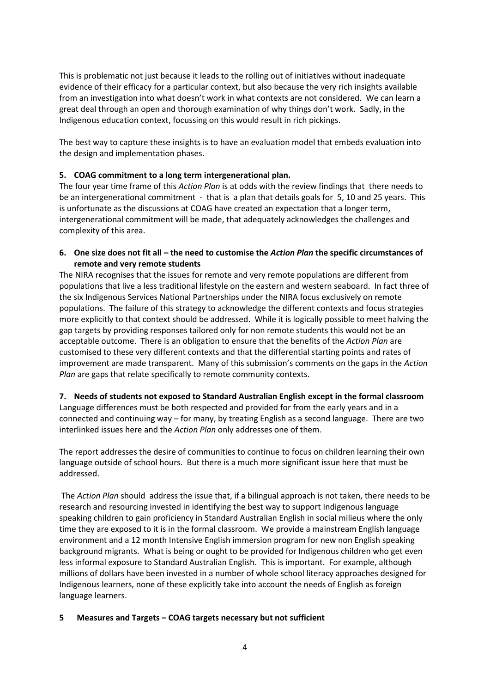This is problematic not just because it leads to the rolling out of initiatives without inadequate evidence of their efficacy for a particular context, but also because the very rich insights available from an investigation into what doesn't work in what contexts are not considered. We can learn a great deal through an open and thorough examination of why things don't work. Sadly, in the Indigenous education context, focussing on this would result in rich pickings.

The best way to capture these insights is to have an evaluation model that embeds evaluation into the design and implementation phases.

# **5. COAG commitment to a long term intergenerational plan.**

The four year time frame of this *Action Plan* is at odds with the review findings that there needs to be an intergenerational commitment - that is a plan that details goals for 5, 10 and 25 years. This is unfortunate as the discussions at COAG have created an expectation that a longer term, intergenerational commitment will be made, that adequately acknowledges the challenges and complexity of this area.

# **6. One size does not fit all – the need to customise the** *Action Plan* **the specific circumstances of remote and very remote students**

The NIRA recognises that the issues for remote and very remote populations are different from populations that live a less traditional lifestyle on the eastern and western seaboard. In fact three of the six Indigenous Services National Partnerships under the NIRA focus exclusively on remote populations. The failure of this strategy to acknowledge the different contexts and focus strategies more explicitly to that context should be addressed. While it is logically possible to meet halving the gap targets by providing responses tailored only for non remote students this would not be an acceptable outcome. There is an obligation to ensure that the benefits of the *Action Plan* are customised to these very different contexts and that the differential starting points and rates of improvement are made transparent. Many of this submission's comments on the gaps in the *Action Plan* are gaps that relate specifically to remote community contexts.

# **7. Needs of students not exposed to Standard Australian English except in the formal classroom**

Language differences must be both respected and provided for from the early years and in a connected and continuing way – for many, by treating English as a second language. There are two interlinked issues here and the *Action Plan* only addresses one of them.

The report addresses the desire of communities to continue to focus on children learning their own language outside of school hours. But there is a much more significant issue here that must be addressed.

The *Action Plan* should address the issue that, if a bilingual approach is not taken, there needs to be research and resourcing invested in identifying the best way to support Indigenous language speaking children to gain proficiency in Standard Australian English in social milieus where the only time they are exposed to it is in the formal classroom. We provide a mainstream English language environment and a 12 month Intensive English immersion program for new non English speaking background migrants. What is being or ought to be provided for Indigenous children who get even less informal exposure to Standard Australian English. This is important. For example, although millions of dollars have been invested in a number of whole school literacy approaches designed for Indigenous learners, none of these explicitly take into account the needs of English as foreign language learners.

# **5 Measures and Targets – COAG targets necessary but not sufficient**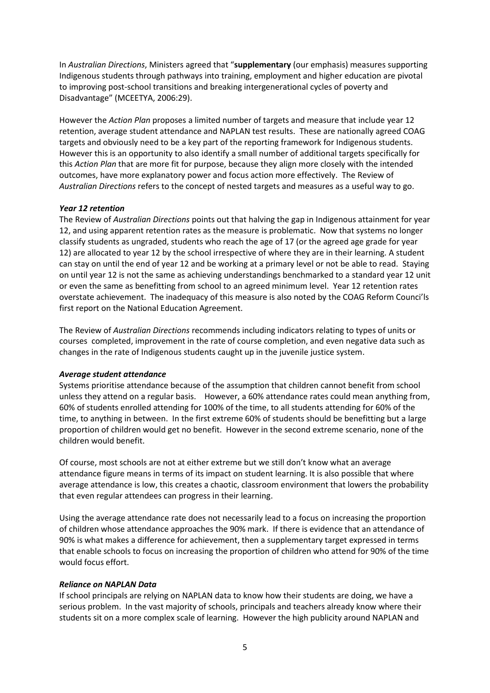In *Australian Directions*, Ministers agreed that "**supplementary** (our emphasis) measures supporting Indigenous students through pathways into training, employment and higher education are pivotal to improving post-school transitions and breaking intergenerational cycles of poverty and Disadvantage" (MCEETYA, 2006:29).

However the *Action Plan* proposes a limited number of targets and measure that include year 12 retention, average student attendance and NAPLAN test results. These are nationally agreed COAG targets and obviously need to be a key part of the reporting framework for Indigenous students. However this is an opportunity to also identify a small number of additional targets specifically for this *Action Plan* that are more fit for purpose, because they align more closely with the intended outcomes, have more explanatory power and focus action more effectively. The Review of *Australian Directions* refers to the concept of nested targets and measures as a useful way to go.

# *Year 12 retention*

The Review of *Australian Directions* points out that halving the gap in Indigenous attainment for year 12, and using apparent retention rates as the measure is problematic. Now that systems no longer classify students as ungraded, students who reach the age of 17 (or the agreed age grade for year 12) are allocated to year 12 by the school irrespective of where they are in their learning. A student can stay on until the end of year 12 and be working at a primary level or not be able to read. Staying on until year 12 is not the same as achieving understandings benchmarked to a standard year 12 unit or even the same as benefitting from school to an agreed minimum level. Year 12 retention rates overstate achievement. The inadequacy of this measure is also noted by the COAG Reform Counci'ls first report on the National Education Agreement.

The Review of *Australian Directions* recommends including indicators relating to types of units or courses completed, improvement in the rate of course completion, and even negative data such as changes in the rate of Indigenous students caught up in the juvenile justice system.

# *Average student attendance*

Systems prioritise attendance because of the assumption that children cannot benefit from school unless they attend on a regular basis. However, a 60% attendance rates could mean anything from, 60% of students enrolled attending for 100% of the time, to all students attending for 60% of the time, to anything in between. In the first extreme 60% of students should be benefitting but a large proportion of children would get no benefit. However in the second extreme scenario, none of the children would benefit.

Of course, most schools are not at either extreme but we still don't know what an average attendance figure means in terms of its impact on student learning. It is also possible that where average attendance is low, this creates a chaotic, classroom environment that lowers the probability that even regular attendees can progress in their learning.

Using the average attendance rate does not necessarily lead to a focus on increasing the proportion of children whose attendance approaches the 90% mark. If there is evidence that an attendance of 90% is what makes a difference for achievement, then a supplementary target expressed in terms that enable schools to focus on increasing the proportion of children who attend for 90% of the time would focus effort.

#### *Reliance on NAPLAN Data*

If school principals are relying on NAPLAN data to know how their students are doing, we have a serious problem. In the vast majority of schools, principals and teachers already know where their students sit on a more complex scale of learning. However the high publicity around NAPLAN and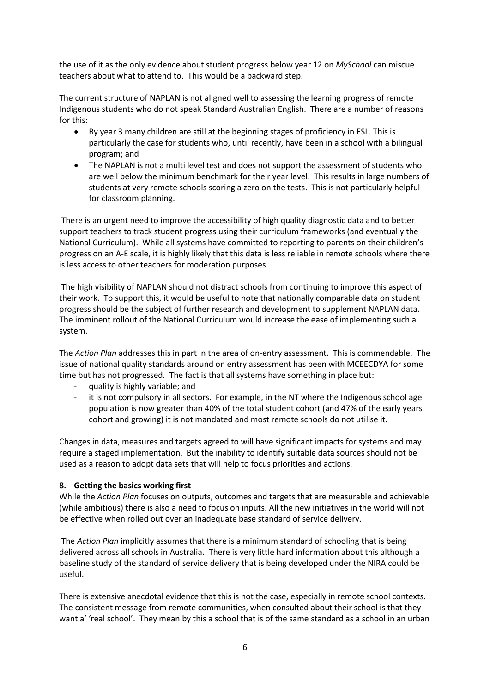the use of it as the only evidence about student progress below year 12 on *MySchool* can miscue teachers about what to attend to. This would be a backward step.

The current structure of NAPLAN is not aligned well to assessing the learning progress of remote Indigenous students who do not speak Standard Australian English. There are a number of reasons for this:

- By year 3 many children are still at the beginning stages of proficiency in ESL. This is particularly the case for students who, until recently, have been in a school with a bilingual program; and
- The NAPLAN is not a multi level test and does not support the assessment of students who are well below the minimum benchmark for their year level. This results in large numbers of students at very remote schools scoring a zero on the tests. This is not particularly helpful for classroom planning.

There is an urgent need to improve the accessibility of high quality diagnostic data and to better support teachers to track student progress using their curriculum frameworks (and eventually the National Curriculum). While all systems have committed to reporting to parents on their children's progress on an A-E scale, it is highly likely that this data is less reliable in remote schools where there is less access to other teachers for moderation purposes.

The high visibility of NAPLAN should not distract schools from continuing to improve this aspect of their work. To support this, it would be useful to note that nationally comparable data on student progress should be the subject of further research and development to supplement NAPLAN data. The imminent rollout of the National Curriculum would increase the ease of implementing such a system.

The *Action Plan* addresses this in part in the area of on-entry assessment. This is commendable. The issue of national quality standards around on entry assessment has been with MCEECDYA for some time but has not progressed. The fact is that all systems have something in place but:

- quality is highly variable; and
- it is not compulsory in all sectors. For example, in the NT where the Indigenous school age population is now greater than 40% of the total student cohort (and 47% of the early years cohort and growing) it is not mandated and most remote schools do not utilise it.

Changes in data, measures and targets agreed to will have significant impacts for systems and may require a staged implementation. But the inability to identify suitable data sources should not be used as a reason to adopt data sets that will help to focus priorities and actions.

# **8. Getting the basics working first**

While the *Action Plan* focuses on outputs, outcomes and targets that are measurable and achievable (while ambitious) there is also a need to focus on inputs. All the new initiatives in the world will not be effective when rolled out over an inadequate base standard of service delivery.

The *Action Plan* implicitly assumes that there is a minimum standard of schooling that is being delivered across all schools in Australia. There is very little hard information about this although a baseline study of the standard of service delivery that is being developed under the NIRA could be useful.

There is extensive anecdotal evidence that this is not the case, especially in remote school contexts. The consistent message from remote communities, when consulted about their school is that they want a' 'real school'. They mean by this a school that is of the same standard as a school in an urban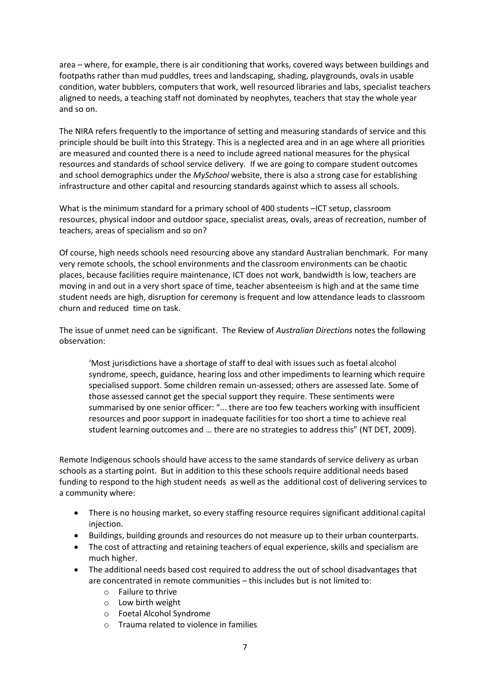area – where, for example, there is air conditioning that works, covered ways between buildings and footpaths rather than mud puddles, trees and landscaping, shading, playgrounds, ovals in usable condition, water bubblers, computers that work, well resourced libraries and labs, specialist teachers aligned to needs, a teaching staff not dominated by neophytes, teachers that stay the whole year and so on.

The NIRA refers frequently to the importance of setting and measuring standards of service and this principle should be built into this Strategy. This is a neglected area and in an age where all priorities are measured and counted there is a need to include agreed national measures for the physical resources and standards of school service delivery. If we are going to compare student outcomes and school demographics under the *MySchool* website, there is also a strong case for establishing infrastructure and other capital and resourcing standards against which to assess all schools.

What is the minimum standard for a primary school of 400 students –ICT setup, classroom resources, physical indoor and outdoor space, specialist areas, ovals, areas of recreation, number of teachers, areas of specialism and so on?

Of course, high needs schools need resourcing above any standard Australian benchmark. For many very remote schools, the school environments and the classroom environments can be chaotic places, because facilities require maintenance, ICT does not work, bandwidth is low, teachers are moving in and out in a very short space of time, teacher absenteeism is high and at the same time student needs are high, disruption for ceremony is frequent and low attendance leads to classroom churn and reduced time on task.

The issue of unmet need can be significant. The Review of *Australian Directions* notes the following observation:

'Most jurisdictions have a shortage of staff to deal with issues such as foetal alcohol syndrome, speech, guidance, hearing loss and other impediments to learning which require specialised support. Some children remain un-assessed; others are assessed late. Some of those assessed cannot get the special support they require. These sentiments were summarised by one senior officer: "... there are too few teachers working with insufficient resources and poor support in inadequate facilities for too short a time to achieve real student learning outcomes and … there are no strategies to address this" (NT DET, 2009).

Remote Indigenous schools should have access to the same standards of service delivery as urban schools as a starting point. But in addition to this these schools require additional needs based funding to respond to the high student needs as well as the additional cost of delivering services to a community where:

- There is no housing market, so every staffing resource requires significant additional capital injection.
- Buildings, building grounds and resources do not measure up to their urban counterparts.
- The cost of attracting and retaining teachers of equal experience, skills and specialism are much higher.
- The additional needs based cost required to address the out of school disadvantages that are concentrated in remote communities – this includes but is not limited to:
	- o Failure to thrive
	- o Low birth weight
	- o Foetal Alcohol Syndrome
	- o Trauma related to violence in families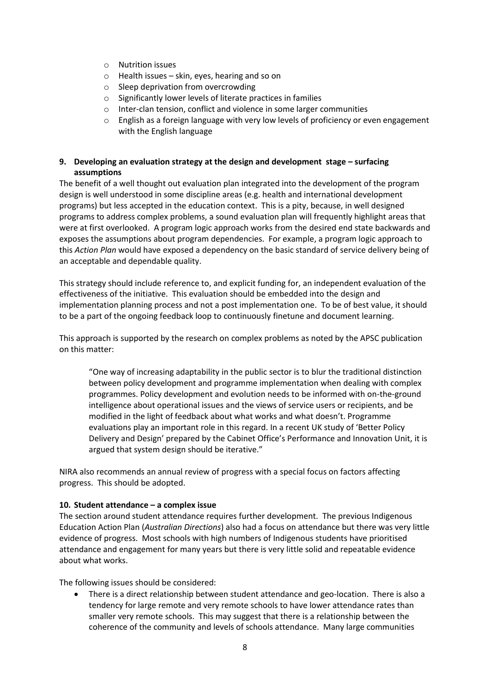- o Nutrition issues
- o Health issues skin, eyes, hearing and so on
- o Sleep deprivation from overcrowding
- o Significantly lower levels of literate practices in families
- o Inter-clan tension, conflict and violence in some larger communities
- $\circ$  English as a foreign language with very low levels of proficiency or even engagement with the English language

# **9.** Developing an evaluation strategy at the design and development stage – surfacing **assumptions**

The benefit of a well thought out evaluation plan integrated into the development of the program design is well understood in some discipline areas (e.g. health and international development programs) but less accepted in the education context. This is a pity, because, in well designed programs to address complex problems, a sound evaluation plan will frequently highlight areas that were at first overlooked. A program logic approach works from the desired end state backwards and exposes the assumptions about program dependencies. For example, a program logic approach to this *Action Plan* would have exposed a dependency on the basic standard of service delivery being of an acceptable and dependable quality.

This strategy should include reference to, and explicit funding for, an independent evaluation of the effectiveness of the initiative. This evaluation should be embedded into the design and implementation planning process and not a post implementation one. To be of best value, it should to be a part of the ongoing feedback loop to continuously finetune and document learning.

This approach is supported by the research on complex problems as noted by the APSC publication on this matter:

"One way of increasing adaptability in the public sector is to blur the traditional distinction between policy development and programme implementation when dealing with complex programmes. Policy development and evolution needs to be informed with on-the-ground intelligence about operational issues and the views of service users or recipients, and be modified in the light of feedback about what works and what doesn't. Programme evaluations play an important role in this regard. In a recent UK study of 'Better Policy Delivery and Design' prepared by the Cabinet Office's Performance and Innovation Unit, it is argued that system design should be iterative."

NIRA also recommends an annual review of progress with a special focus on factors affecting progress. This should be adopted.

# **10. Student attendance – a complex issue**

The section around student attendance requires further development. The previous Indigenous Education Action Plan (*Australian Directions*) also had a focus on attendance but there was very little evidence of progress. Most schools with high numbers of Indigenous students have prioritised attendance and engagement for many years but there is very little solid and repeatable evidence about what works.

The following issues should be considered:

 There is a direct relationship between student attendance and geo-location. There is also a tendency for large remote and very remote schools to have lower attendance rates than smaller very remote schools. This may suggest that there is a relationship between the coherence of the community and levels of schools attendance. Many large communities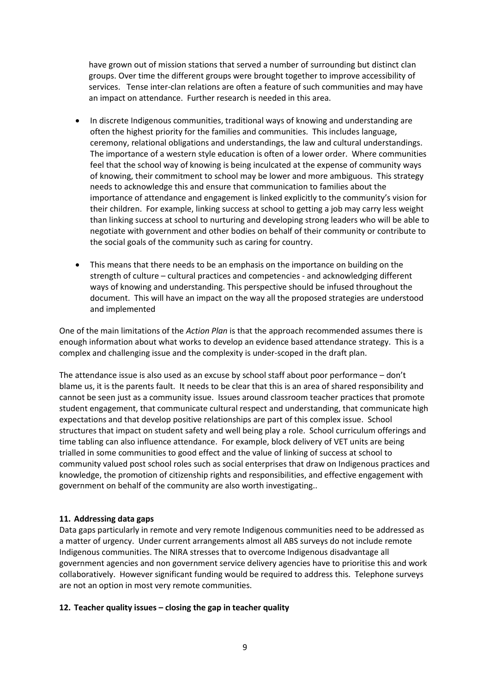have grown out of mission stations that served a number of surrounding but distinct clan groups. Over time the different groups were brought together to improve accessibility of services. Tense inter-clan relations are often a feature of such communities and may have an impact on attendance. Further research is needed in this area.

- In discrete Indigenous communities, traditional ways of knowing and understanding are often the highest priority for the families and communities. This includes language, ceremony, relational obligations and understandings, the law and cultural understandings. The importance of a western style education is often of a lower order. Where communities feel that the school way of knowing is being inculcated at the expense of community ways of knowing, their commitment to school may be lower and more ambiguous. This strategy needs to acknowledge this and ensure that communication to families about the importance of attendance and engagement is linked explicitly to the community's vision for their children. For example, linking success at school to getting a job may carry less weight than linking success at school to nurturing and developing strong leaders who will be able to negotiate with government and other bodies on behalf of their community or contribute to the social goals of the community such as caring for country.
- This means that there needs to be an emphasis on the importance on building on the strength of culture – cultural practices and competencies - and acknowledging different ways of knowing and understanding. This perspective should be infused throughout the document. This will have an impact on the way all the proposed strategies are understood and implemented

One of the main limitations of the *Action Plan* is that the approach recommended assumes there is enough information about what works to develop an evidence based attendance strategy. This is a complex and challenging issue and the complexity is under-scoped in the draft plan.

The attendance issue is also used as an excuse by school staff about poor performance – don't blame us, it is the parents fault. It needs to be clear that this is an area of shared responsibility and cannot be seen just as a community issue. Issues around classroom teacher practices that promote student engagement, that communicate cultural respect and understanding, that communicate high expectations and that develop positive relationships are part of this complex issue. School structures that impact on student safety and well being play a role. School curriculum offerings and time tabling can also influence attendance. For example, block delivery of VET units are being trialled in some communities to good effect and the value of linking of success at school to community valued post school roles such as social enterprises that draw on Indigenous practices and knowledge, the promotion of citizenship rights and responsibilities, and effective engagement with government on behalf of the community are also worth investigating..

# **11. Addressing data gaps**

Data gaps particularly in remote and very remote Indigenous communities need to be addressed as a matter of urgency. Under current arrangements almost all ABS surveys do not include remote Indigenous communities. The NIRA stresses that to overcome Indigenous disadvantage all government agencies and non government service delivery agencies have to prioritise this and work collaboratively. However significant funding would be required to address this. Telephone surveys are not an option in most very remote communities.

# **12. Teacher quality issues – closing the gap in teacher quality**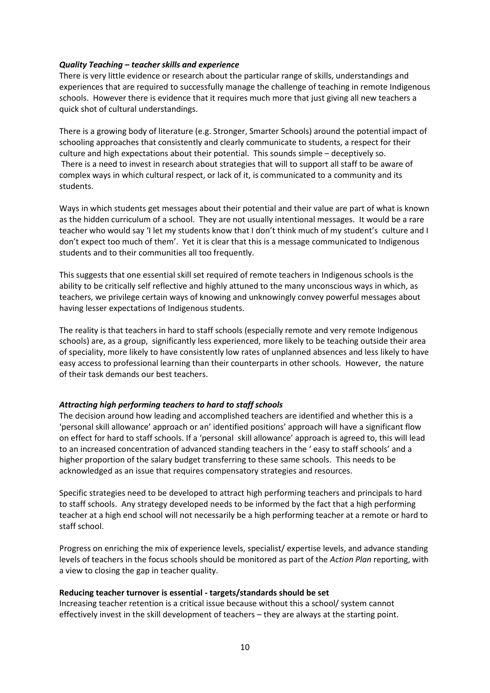# *Quality Teaching – teacher skills and experience*

There is very little evidence or research about the particular range of skills, understandings and experiences that are required to successfully manage the challenge of teaching in remote Indigenous schools. However there is evidence that it requires much more that just giving all new teachers a quick shot of cultural understandings.

There is a growing body of literature (e.g. Stronger, Smarter Schools) around the potential impact of schooling approaches that consistently and clearly communicate to students, a respect for their culture and high expectations about their potential. This sounds simple – deceptively so. There is a need to invest in research about strategies that will to support all staff to be aware of complex ways in which cultural respect, or lack of it, is communicated to a community and its students.

Ways in which students get messages about their potential and their value are part of what is known as the hidden curriculum of a school. They are not usually intentional messages. It would be a rare teacher who would say 'I let my students know that I don't think much of my student's culture and I don't expect too much of them'. Yet it is clear that this is a message communicated to Indigenous students and to their communities all too frequently.

This suggests that one essential skill set required of remote teachers in Indigenous schools is the ability to be critically self reflective and highly attuned to the many unconscious ways in which, as teachers, we privilege certain ways of knowing and unknowingly convey powerful messages about having lesser expectations of Indigenous students.

The reality is that teachers in hard to staff schools (especially remote and very remote Indigenous schools) are, as a group, significantly less experienced, more likely to be teaching outside their area of speciality, more likely to have consistently low rates of unplanned absences and less likely to have easy access to professional learning than their counterparts in other schools. However, the nature of their task demands our best teachers.

# *Attracting high performing teachers to hard to staff schools*

The decision around how leading and accomplished teachers are identified and whether this is a 'personal skill allowance' approach or an' identified positions' approach will have a significant flow on effect for hard to staff schools. If a 'personal skill allowance' approach is agreed to, this will lead to an increased concentration of advanced standing teachers in the ' easy to staff schools' and a higher proportion of the salary budget transferring to these same schools. This needs to be acknowledged as an issue that requires compensatory strategies and resources.

Specific strategies need to be developed to attract high performing teachers and principals to hard to staff schools. Any strategy developed needs to be informed by the fact that a high performing teacher at a high end school will not necessarily be a high performing teacher at a remote or hard to staff school.

Progress on enriching the mix of experience levels, specialist/ expertise levels, and advance standing levels of teachers in the focus schools should be monitored as part of the *Action Plan* reporting, with a view to closing the gap in teacher quality.

# **Reducing teacher turnover is essential - targets/standards should be set**

Increasing teacher retention is a critical issue because without this a school/ system cannot effectively invest in the skill development of teachers – they are always at the starting point.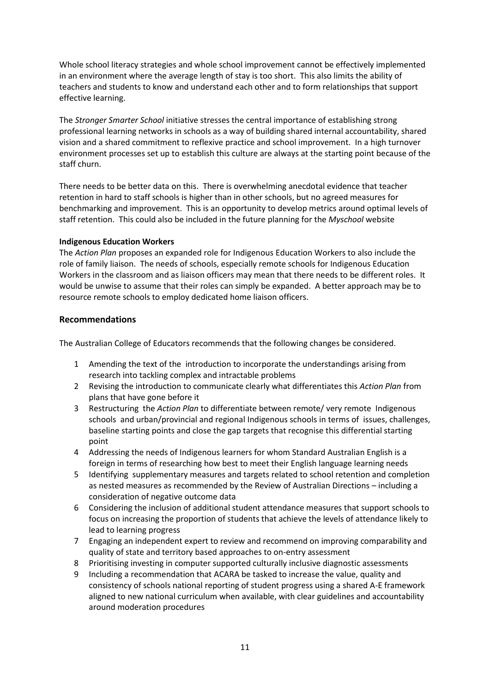Whole school literacy strategies and whole school improvement cannot be effectively implemented in an environment where the average length of stay is too short. This also limits the ability of teachers and students to know and understand each other and to form relationships that support effective learning.

The *Stronger Smarter School* initiative stresses the central importance of establishing strong professional learning networks in schools as a way of building shared internal accountability, shared vision and a shared commitment to reflexive practice and school improvement. In a high turnover environment processes set up to establish this culture are always at the starting point because of the staff churn.

There needs to be better data on this. There is overwhelming anecdotal evidence that teacher retention in hard to staff schools is higher than in other schools, but no agreed measures for benchmarking and improvement. This is an opportunity to develop metrics around optimal levels of staff retention. This could also be included in the future planning for the *Myschool* website

# **Indigenous Education Workers**

The *Action Plan* proposes an expanded role for Indigenous Education Workers to also include the role of family liaison. The needs of schools, especially remote schools for Indigenous Education Workers in the classroom and as liaison officers may mean that there needs to be different roles. It would be unwise to assume that their roles can simply be expanded. A better approach may be to resource remote schools to employ dedicated home liaison officers.

# **Recommendations**

The Australian College of Educators recommends that the following changes be considered.

- 1 Amending the text of the introduction to incorporate the understandings arising from research into tackling complex and intractable problems
- 2 Revising the introduction to communicate clearly what differentiates this *Action Plan* from plans that have gone before it
- 3 Restructuring the *Action Plan* to differentiate between remote/ very remote Indigenous schools and urban/provincial and regional Indigenous schools in terms of issues, challenges, baseline starting points and close the gap targets that recognise this differential starting point
- 4 Addressing the needs of Indigenous learners for whom Standard Australian English is a foreign in terms of researching how best to meet their English language learning needs
- 5 Identifying supplementary measures and targets related to school retention and completion as nested measures as recommended by the Review of Australian Directions – including a consideration of negative outcome data
- 6 Considering the inclusion of additional student attendance measures that support schools to focus on increasing the proportion of students that achieve the levels of attendance likely to lead to learning progress
- 7 Engaging an independent expert to review and recommend on improving comparability and quality of state and territory based approaches to on-entry assessment
- 8 Prioritising investing in computer supported culturally inclusive diagnostic assessments
- 9 Including a recommendation that ACARA be tasked to increase the value, quality and consistency of schools national reporting of student progress using a shared A-E framework aligned to new national curriculum when available, with clear guidelines and accountability around moderation procedures